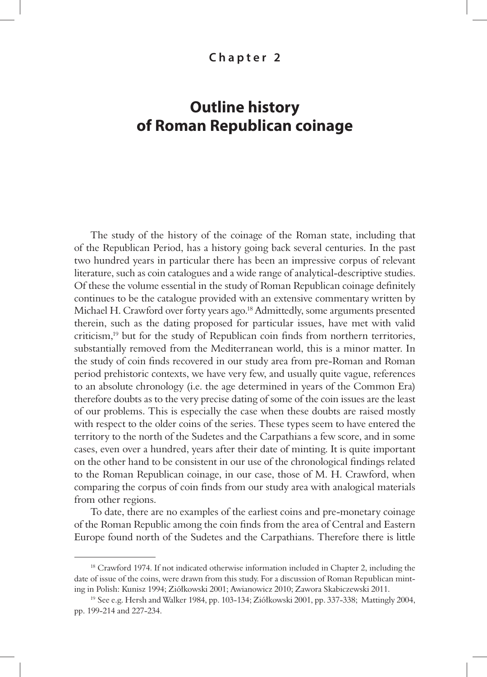## **Chapter 2**

## **Outline history of Roman Republican coinage**

The study of the history of the coinage of the Roman state, including that of the Republican Period, has a history going back several centuries. In the past two hundred years in particular there has been an impressive corpus of relevant literature, such as coin catalogues and a wide range of analytical-descriptive studies. Of these the volume essential in the study of Roman Republican coinage definitely continues to be the catalogue provided with an extensive commentary written by Michael H. Crawford over forty years ago.18 Admittedly, some arguments presented therein, such as the dating proposed for particular issues, have met with valid criticism, $19$  but for the study of Republican coin finds from northern territories, substantially removed from the Mediterranean world, this is a minor matter. In the study of coin finds recovered in our study area from pre-Roman and Roman period prehistoric contexts, we have very few, and usually quite vague, references to an absolute chronology (i.e. the age determined in years of the Common Era) therefore doubts as to the very precise dating of some of the coin issues are the least of our problems. This is especially the case when these doubts are raised mostly with respect to the older coins of the series. These types seem to have entered the territory to the north of the Sudetes and the Carpathians a few score, and in some cases, even over a hundred, years after their date of minting. It is quite important on the other hand to be consistent in our use of the chronological findings related to the Roman Republican coinage, in our case, those of M. H. Crawford, when comparing the corpus of coin finds from our study area with analogical materials from other regions.

To date, there are no examples of the earliest coins and pre-monetary coinage of the Roman Republic among the coin finds from the area of Central and Eastern Europe found north of the Sudetes and the Carpathians. Therefore there is little

<sup>&</sup>lt;sup>18</sup> Crawford 1974. If not indicated otherwise information included in Chapter 2, including the date of issue of the coins, were drawn from this study. For a discussion of Roman Republican minting in Polish: Kunisz 1994; Ziółkowski 2001; Awianowicz 2010; Zawora Skabiczewski 2011.

<sup>19</sup> See e.g. Hersh and Walker 1984, pp. 103-134; Ziółkowski 2001, pp. 337-338; Mattingly 2004, pp. 199-214 and 227-234.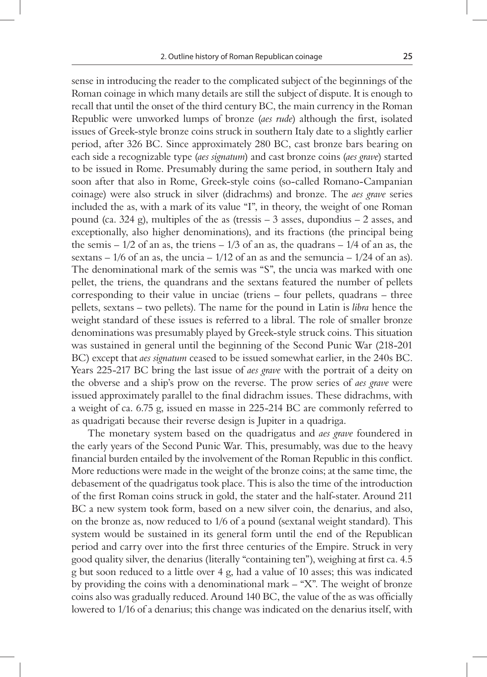sense in introducing the reader to the complicated subject of the beginnings of the Roman coinage in which many details are still the subject of dispute. It is enough to recall that until the onset of the third century BC, the main currency in the Roman Republic were unworked lumps of bronze *(aes rude*) although the first, isolated issues of Greek-style bronze coins struck in southern Italy date to a slightly earlier period, after 326 BC. Since approximately 280 BC, cast bronze bars bearing on each side a recognizable type (*aes signatum*) and cast bronze coins (*aes grave*) started to be issued in Rome. Presumably during the same period, in southern Italy and soon after that also in Rome, Greek-style coins (so-called Romano-Campanian coinage) were also struck in silver (didrachms) and bronze. The *aes grave* series included the as, with a mark of its value "I", in theory, the weight of one Roman pound (ca. 324 g), multiples of the as (tressis – 3 asses, dupondius – 2 asses, and exceptionally, also higher denominations), and its fractions (the principal being the semis  $-1/2$  of an as, the triens  $-1/3$  of an as, the quadrans  $-1/4$  of an as, the sextans  $-1/6$  of an as, the uncia  $-1/12$  of an as and the semuncia  $-1/24$  of an as). The denominational mark of the semis was "S", the uncia was marked with one pellet, the triens, the quandrans and the sextans featured the number of pellets corresponding to their value in unciae (triens – four pellets, quadrans – three pellets, sextans – two pellets). The name for the pound in Latin is *libra* hence the weight standard of these issues is referred to a libral. The role of smaller bronze denominations was presumably played by Greek-style struck coins. This situation was sustained in general until the beginning of the Second Punic War (218-201 BC) except that *aes signatum* ceased to be issued somewhat earlier, in the 240s BC. Years 225-217 BC bring the last issue of *aes grave* with the portrait of a deity on the obverse and a ship's prow on the reverse. The prow series of *aes grave* were issued approximately parallel to the final didrachm issues. These didrachms, with a weight of ca. 6.75 g, issued en masse in 225-214 BC are commonly referred to as quadrigati because their reverse design is Jupiter in a quadriga.

The monetary system based on the quadrigatus and *aes grave* foundered in the early years of the Second Punic War. This, presumably, was due to the heavy financial burden entailed by the involvement of the Roman Republic in this conflict. More reductions were made in the weight of the bronze coins; at the same time, the debasement of the quadrigatus took place. This is also the time of the introduction of the first Roman coins struck in gold, the stater and the half-stater. Around 211 BC a new system took form, based on a new silver coin, the denarius, and also, on the bronze as, now reduced to 1/6 of a pound (sextanal weight standard). This system would be sustained in its general form until the end of the Republican period and carry over into the first three centuries of the Empire. Struck in very good quality silver, the denarius (literally "containing ten"), weighing at first ca. 4.5 g but soon reduced to a little over 4 g, had a value of 10 asses; this was indicated by providing the coins with a denominational mark – "X". The weight of bronze coins also was gradually reduced. Around 140 BC, the value of the as was officially lowered to 1/16 of a denarius; this change was indicated on the denarius itself, with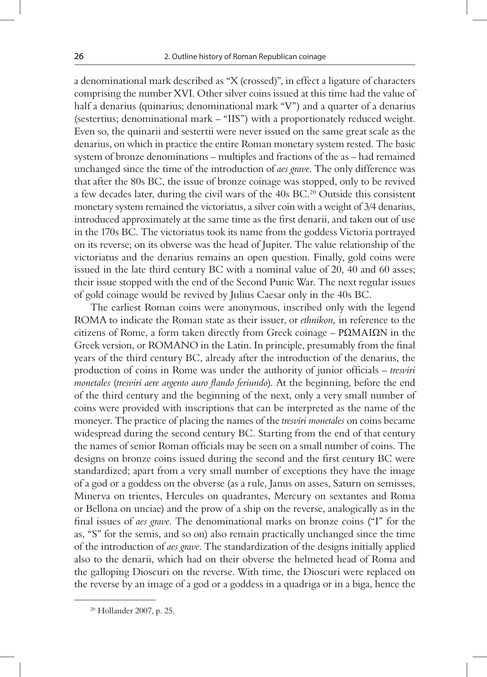a denominational mark described as "X (crossed)", in effect a ligature of characters comprising the number XVI. Other silver coins issued at this time had the value of half a denarius (quinarius; denominational mark "V") and a quarter of a denarius (sestertius; denominational mark – "IIS") with a proportionately reduced weight. Even so, the quinarii and sestertii were never issued on the same great scale as the denarius, on which in practice the entire Roman monetary system rested. The basic system of bronze denominations – multiples and fractions of the as – had remained unchanged since the time of the introduction of *aes grave*. The only difference was that after the 80s BC, the issue of bronze coinage was stopped, only to be revived a few decades later, during the civil wars of the 40s BC.20 Outside this consistent monetary system remained the victoriatus, a silver coin with a weight of 3/4 denarius, introduced approximately at the same time as the first denarii, and taken out of use in the 170s BC. The victoriatus took its name from the goddess Victoria portrayed on its reverse; on its obverse was the head of Jupiter. The value relationship of the victoriatus and the denarius remains an open question. Finally, gold coins were issued in the late third century BC with a nominal value of 20, 40 and 60 asses; their issue stopped with the end of the Second Punic War. The next regular issues of gold coinage would be revived by Julius Caesar only in the 40s BC.

The earliest Roman coins were anonymous, inscribed only with the legend ROMA to indicate the Roman state as their issuer, or *ethnikon,* in reference to the citizens of Rome, a form taken directly from Greek coinage – ΡΩΜΑΙΩΝ in the Greek version, or ROMANO in the Latin. In principle, presumably from the final years of the third century BC, already after the introduction of the denarius, the production of coins in Rome was under the authority of junior officials – *tresviri monetales* (*tresviri aere argento auro flando feriundo*). At the beginning, before the end of the third century and the beginning of the next, only a very small number of coins were provided with inscriptions that can be interpreted as the name of the moneyer. The practice of placing the names of the *tresviri monetales* on coins became widespread during the second century BC. Starting from the end of that century the names of senior Roman officials may be seen on a small number of coins. The designs on bronze coins issued during the second and the first century BC were standardized; apart from a very small number of exceptions they have the image of a god or a goddess on the obverse (as a rule, Janus on asses, Saturn on semisses, Minerva on trientes, Hercules on quadrantes, Mercury on sextantes and Roma or Bellona on unciae) and the prow of a ship on the reverse, analogically as in the final issues of *aes grave*. The denominational marks on bronze coins ("I" for the as, "S" for the semis, and so on) also remain practically unchanged since the time of the introduction of *aes grave*. The standardization of the designs initially applied also to the denarii, which had on their obverse the helmeted head of Roma and the galloping Dioscuri on the reverse. With time, the Dioscuri were replaced on the reverse by an image of a god or a goddess in a quadriga or in a biga, hence the

<sup>20</sup> Hollander 2007, p. 25.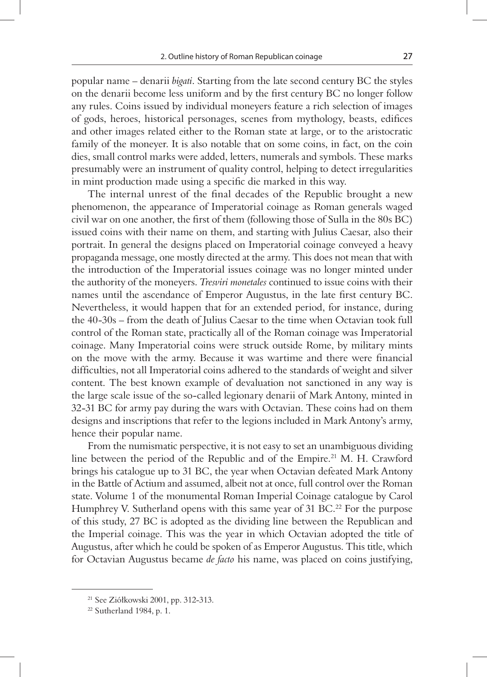popular name – denarii *bigati*. Starting from the late second century BC the styles on the denarii become less uniform and by the first century BC no longer follow any rules. Coins issued by individual moneyers feature a rich selection of images of gods, heroes, historical personages, scenes from mythology, beasts, edifices and other images related either to the Roman state at large, or to the aristocratic family of the moneyer. It is also notable that on some coins, in fact, on the coin dies, small control marks were added, letters, numerals and symbols. These marks presumably were an instrument of quality control, helping to detect irregularities in mint production made using a specific die marked in this way.

The internal unrest of the final decades of the Republic brought a new phenomenon, the appearance of Imperatorial coinage as Roman generals waged civil war on one another, the first of them (following those of Sulla in the 80s BC) issued coins with their name on them, and starting with Julius Caesar, also their portrait. In general the designs placed on Imperatorial coinage conveyed a heavy propaganda message, one mostly directed at the army. This does not mean that with the introduction of the Imperatorial issues coinage was no longer minted under the authority of the moneyers. *Tresviri monetales* continued to issue coins with their names until the ascendance of Emperor Augustus, in the late first century BC. Nevertheless, it would happen that for an extended period, for instance, during the 40-30s – from the death of Julius Caesar to the time when Octavian took full control of the Roman state, practically all of the Roman coinage was Imperatorial coinage. Many Imperatorial coins were struck outside Rome, by military mints on the move with the army. Because it was wartime and there were financial difficulties, not all Imperatorial coins adhered to the standards of weight and silver content. The best known example of devaluation not sanctioned in any way is the large scale issue of the so-called legionary denarii of Mark Antony, minted in 32-31 BC for army pay during the wars with Octavian. These coins had on them designs and inscriptions that refer to the legions included in Mark Antony's army, hence their popular name.

From the numismatic perspective, it is not easy to set an unambiguous dividing line between the period of the Republic and of the Empire.<sup>21</sup> M. H. Crawford brings his catalogue up to 31 BC, the year when Octavian defeated Mark Antony in the Battle of Actium and assumed, albeit not at once, full control over the Roman state. Volume 1 of the monumental Roman Imperial Coinage catalogue by Carol Humphrey V. Sutherland opens with this same year of 31 BC.<sup>22</sup> For the purpose of this study, 27 BC is adopted as the dividing line between the Republican and the Imperial coinage. This was the year in which Octavian adopted the title of Augustus, after which he could be spoken of as Emperor Augustus. This title, which for Octavian Augustus became *de facto* his name, was placed on coins justifying,

<sup>21</sup> See Ziółkowski 2001, pp. 312-313.

<sup>22</sup> Sutherland 1984, p. 1.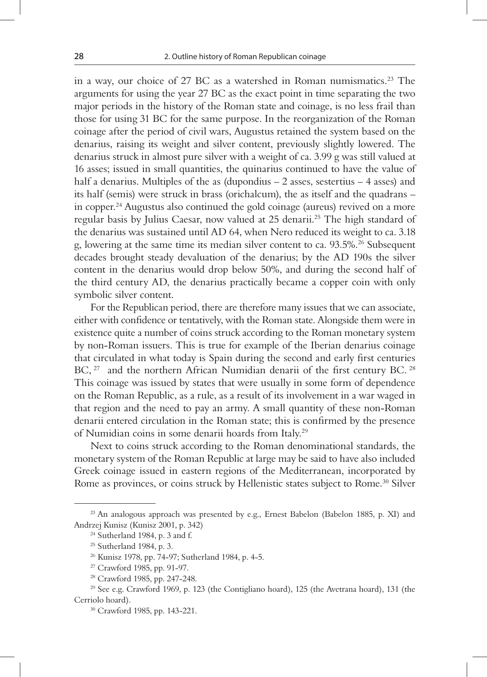in a way, our choice of 27 BC as a watershed in Roman numismatics.23 The arguments for using the year 27 BC as the exact point in time separating the two major periods in the history of the Roman state and coinage, is no less frail than those for using 31 BC for the same purpose. In the reorganization of the Roman coinage after the period of civil wars, Augustus retained the system based on the denarius, raising its weight and silver content, previously slightly lowered. The denarius struck in almost pure silver with a weight of ca. 3.99 g was still valued at 16 asses; issued in small quantities, the quinarius continued to have the value of half a denarius. Multiples of the as (dupondius – 2 asses, sestertius – 4 asses) and its half (semis) were struck in brass (orichalcum), the as itself and the quadrans – in copper.24 Augustus also continued the gold coinage (aureus) revived on a more regular basis by Julius Caesar, now valued at 25 denarii.25 The high standard of the denarius was sustained until AD 64, when Nero reduced its weight to ca. 3.18 g, lowering at the same time its median silver content to ca. 93.5%.26 Subsequent decades brought steady devaluation of the denarius; by the AD 190s the silver content in the denarius would drop below 50%, and during the second half of the third century AD, the denarius practically became a copper coin with only symbolic silver content.

For the Republican period, there are therefore many issues that we can associate, either with confidence or tentatively, with the Roman state. Alongside them were in existence quite a number of coins struck according to the Roman monetary system by non-Roman issuers. This is true for example of the Iberian denarius coinage that circulated in what today is Spain during the second and early first centuries BC, <sup>27</sup> and the northern African Numidian denarii of the first century BC. <sup>28</sup> This coinage was issued by states that were usually in some form of dependence on the Roman Republic, as a rule, as a result of its involvement in a war waged in that region and the need to pay an army. A small quantity of these non-Roman denarii entered circulation in the Roman state; this is confirmed by the presence of Numidian coins in some denarii hoards from Italy.29

Next to coins struck according to the Roman denominational standards, the monetary system of the Roman Republic at large may be said to have also included Greek coinage issued in eastern regions of the Mediterranean, incorporated by Rome as provinces, or coins struck by Hellenistic states subject to Rome.<sup>30</sup> Silver

 $23$  An analogous approach was presented by e.g., Ernest Babelon (Babelon 1885, p. XI) and Andrzej Kunisz (Kunisz 2001, p. 342)

<sup>24</sup> Sutherland 1984, p. 3 and f.

<sup>25</sup> Sutherland 1984, p. 3.

<sup>26</sup> Kunisz 1978, pp. 74-97; Sutherland 1984, p. 4-5.

<sup>27</sup> Crawford 1985, pp. 91-97.

<sup>28</sup> Crawford 1985, pp. 247-248.

 $29$  See e.g. Crawford 1969, p. 123 (the Contigliano hoard), 125 (the Avetrana hoard), 131 (the Cerriolo hoard).

<sup>30</sup> Crawford 1985, pp. 143-221.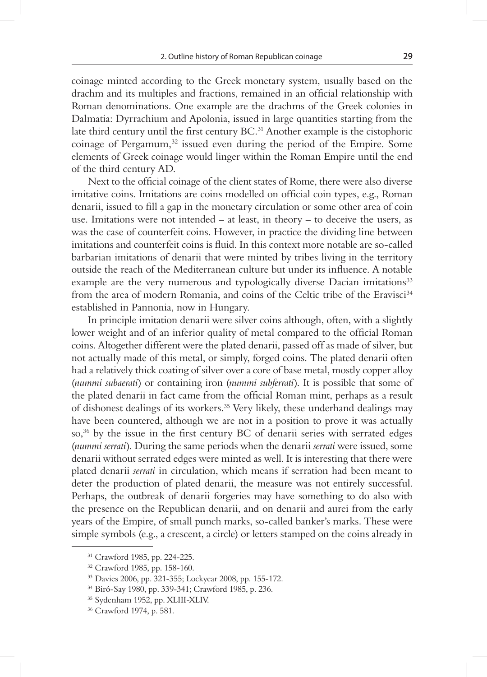coinage minted according to the Greek monetary system, usually based on the drachm and its multiples and fractions, remained in an official relationship with Roman denominations. One example are the drachms of the Greek colonies in Dalmatia: Dyrrachium and Apolonia, issued in large quantities starting from the late third century until the first century BC.<sup>31</sup> Another example is the cistophoric coinage of Pergamum, $32$  issued even during the period of the Empire. Some elements of Greek coinage would linger within the Roman Empire until the end of the third century AD.

Next to the official coinage of the client states of Rome, there were also diverse imitative coins. Imitations are coins modelled on official coin types, e.g., Roman denarii, issued to fill a gap in the monetary circulation or some other area of coin use. Imitations were not intended – at least, in theory – to deceive the users, as was the case of counterfeit coins. However, in practice the dividing line between imitations and counterfeit coins is fluid. In this context more notable are so-called barbarian imitations of denarii that were minted by tribes living in the territory outside the reach of the Mediterranean culture but under its influence. A notable example are the very numerous and typologically diverse Dacian imitations<sup>33</sup> from the area of modern Romania, and coins of the Celtic tribe of the Eravisci<sup>34</sup> established in Pannonia, now in Hungary.

In principle imitation denarii were silver coins although, often, with a slightly lower weight and of an inferior quality of metal compared to the official Roman coins. Altogether different were the plated denarii, passed off as made of silver, but not actually made of this metal, or simply, forged coins. The plated denarii often had a relatively thick coating of silver over a core of base metal, mostly copper alloy (*nummi subaerati*) or containing iron (*nummi subferrati*). It is possible that some of the plated denarii in fact came from the official Roman mint, perhaps as a result of dishonest dealings of its workers.35 Very likely, these underhand dealings may have been countered, although we are not in a position to prove it was actually so, $36$  by the issue in the first century BC of denarii series with serrated edges (*nummi serrati*). During the same periods when the denarii *serrati* were issued, some denarii without serrated edges were minted as well. It is interesting that there were plated denarii *serrati* in circulation, which means if serration had been meant to deter the production of plated denarii, the measure was not entirely successful. Perhaps, the outbreak of denarii forgeries may have something to do also with the presence on the Republican denarii, and on denarii and aurei from the early years of the Empire, of small punch marks, so-called banker's marks. These were simple symbols (e.g., a crescent, a circle) or letters stamped on the coins already in

<sup>31</sup> Crawford 1985, pp. 224-225.

<sup>32</sup> Crawford 1985, pp. 158-160.

<sup>33</sup> Davies 2006, pp. 321-355; Lockyear 2008, pp. 155-172.

<sup>34</sup> Biró-Say 1980, pp. 339-341; Crawford 1985, p. 236.

<sup>35</sup> Sydenham 1952, pp. XLIII-XLIV.

<sup>36</sup> Crawford 1974, p. 581.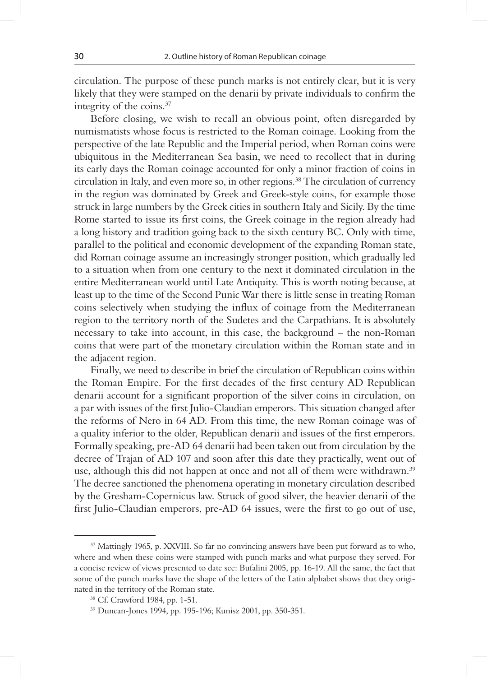circulation. The purpose of these punch marks is not entirely clear, but it is very likely that they were stamped on the denarii by private individuals to confirm the integrity of the coins.37

Before closing, we wish to recall an obvious point, often disregarded by numismatists whose focus is restricted to the Roman coinage. Looking from the perspective of the late Republic and the Imperial period, when Roman coins were ubiquitous in the Mediterranean Sea basin, we need to recollect that in during its early days the Roman coinage accounted for only a minor fraction of coins in circulation in Italy, and even more so, in other regions.38 The circulation of currency in the region was dominated by Greek and Greek-style coins, for example those struck in large numbers by the Greek cities in southern Italy and Sicily. By the time Rome started to issue its first coins, the Greek coinage in the region already had a long history and tradition going back to the sixth century BC. Only with time, parallel to the political and economic development of the expanding Roman state, did Roman coinage assume an increasingly stronger position, which gradually led to a situation when from one century to the next it dominated circulation in the entire Mediterranean world until Late Antiquity. This is worth noting because, at least up to the time of the Second Punic War there is little sense in treating Roman coins selectively when studying the influx of coinage from the Mediterranean region to the territory north of the Sudetes and the Carpathians. It is absolutely necessary to take into account, in this case, the background – the non-Roman coins that were part of the monetary circulation within the Roman state and in the adjacent region.

Finally, we need to describe in brief the circulation of Republican coins within the Roman Empire. For the first decades of the first century AD Republican denarii account for a significant proportion of the silver coins in circulation, on a par with issues of the first Julio-Claudian emperors. This situation changed after the reforms of Nero in 64 AD. From this time, the new Roman coinage was of a quality inferior to the older, Republican denarii and issues of the first emperors. Formally speaking, pre-AD 64 denarii had been taken out from circulation by the decree of Trajan of AD 107 and soon after this date they practically, went out of use, although this did not happen at once and not all of them were withdrawn.<sup>39</sup> The decree sanctioned the phenomena operating in monetary circulation described by the Gresham-Copernicus law. Struck of good silver, the heavier denarii of the first Julio-Claudian emperors, pre-AD 64 issues, were the first to go out of use,

<sup>37</sup> Mattingly 1965, p. XXVIII. So far no convincing answers have been put forward as to who, where and when these coins were stamped with punch marks and what purpose they served. For a concise review of views presented to date see: Bufalini 2005, pp. 16-19. All the same, the fact that some of the punch marks have the shape of the letters of the Latin alphabet shows that they originated in the territory of the Roman state.

<sup>38</sup> Cf. Crawford 1984, pp. 1-51.

<sup>39</sup> Duncan-Jones 1994, pp. 195-196; Kunisz 2001, pp. 350-351.